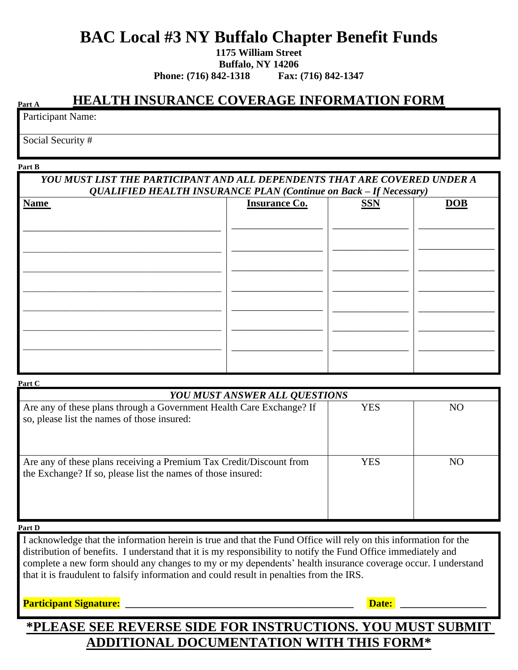# **BAC Local #3 NY Buffalo Chapter Benefit Funds**

**1175 William Street**

**Buffalo, NY 14206**

**Phone: (716) 842-1318 Fax: (716) 842-1347**

### **HEALTH INSURANCE COVERAGE INFORMATION FORM**

Participant Name:

Social Security #

#### **Part B**

**Part A**

### *YOU MUST LIST THE PARTICIPANT AND ALL DEPENDENTS THAT ARE COVERED UNDER A QUALIFIED HEALTH INSURANCE PLAN (Continue on Back – If Necessary)*

| <b>Name</b> | <b>Insurance Co.</b> | <b>SSN</b> | DOB |
|-------------|----------------------|------------|-----|
|             |                      |            |     |
|             |                      |            |     |
|             |                      |            |     |
|             |                      |            |     |
|             |                      |            |     |
|             |                      |            |     |
|             |                      |            |     |
|             |                      |            |     |
|             |                      |            |     |
|             |                      |            |     |

| Part C                                                                                                                              |            |    |  |  |
|-------------------------------------------------------------------------------------------------------------------------------------|------------|----|--|--|
| <b>YOU MUST ANSWER ALL QUESTIONS</b>                                                                                                |            |    |  |  |
| Are any of these plans through a Government Health Care Exchange? If<br>so, please list the names of those insured:                 | <b>YES</b> | NO |  |  |
| Are any of these plans receiving a Premium Tax Credit/Discount from<br>the Exchange? If so, please list the names of those insured: | YES        | NO |  |  |

#### **Part D**

I acknowledge that the information herein is true and that the Fund Office will rely on this information for the distribution of benefits. I understand that it is my responsibility to notify the Fund Office immediately and complete a new form should any changes to my or my dependents' health insurance coverage occur. I understand that it is fraudulent to falsify information and could result in penalties from the IRS.

### **Participant Signature:** The contract of the contract of the contract of the contract of the contract of the contract of the contract of the contract of the contract of the contract of the contract of the contract of the c

### **\*PLEASE SEE REVERSE SIDE FOR INSTRUCTIONS. YOU MUST SUBMIT ADDITIONAL DOCUMENTATION WITH THIS FORM\***